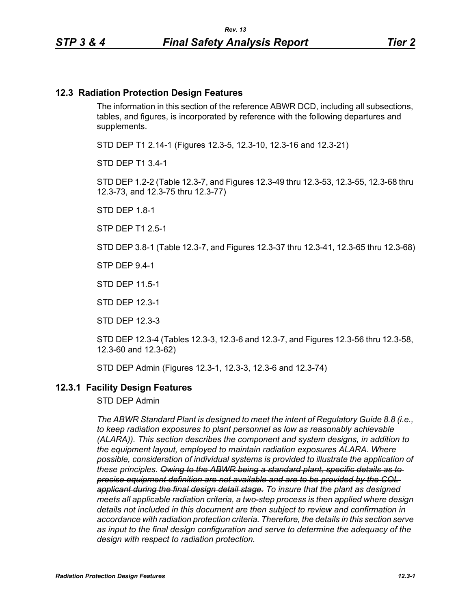#### **12.3 Radiation Protection Design Features**

The information in this section of the reference ABWR DCD, including all subsections, tables, and figures, is incorporated by reference with the following departures and supplements.

STD DEP T1 2.14-1 (Figures 12.3-5, 12.3-10, 12.3-16 and 12.3-21)

STD DEP T1 3.4-1

STD DEP 1.2-2 (Table 12.3-7, and Figures 12.3-49 thru 12.3-53, 12.3-55, 12.3-68 thru 12.3-73, and 12.3-75 thru 12.3-77)

STD DEP 1.8-1

STP DEP T1 2.5-1

STD DEP 3.8-1 (Table 12.3-7, and Figures 12.3-37 thru 12.3-41, 12.3-65 thru 12.3-68)

STP DEP 9.4-1

STD DEP 11.5-1

STD DEP 12.3-1

STD DEP 12.3-3

STD DEP 12.3-4 (Tables 12.3-3, 12.3-6 and 12.3-7, and Figures 12.3-56 thru 12.3-58, 12.3-60 and 12.3-62)

STD DEP Admin (Figures 12.3-1, 12.3-3, 12.3-6 and 12.3-74)

#### **12.3.1 Facility Design Features**

STD DEP Admin

*The ABWR Standard Plant is designed to meet the intent of Regulatory Guide 8.8 (i.e., to keep radiation exposures to plant personnel as low as reasonably achievable (ALARA)). This section describes the component and system designs, in addition to the equipment layout, employed to maintain radiation exposures ALARA. Where possible, consideration of individual systems is provided to illustrate the application of these principles. Owing to the ABWR being a standard plant, specific details as to precise equipment definition are not available and are to be provided by the COL applicant during the final design detail stage. To insure that the plant as designed meets all applicable radiation criteria, a two-step process is then applied where design details not included in this document are then subject to review and confirmation in accordance with radiation protection criteria. Therefore, the details in this section serve as input to the final design configuration and serve to determine the adequacy of the design with respect to radiation protection.*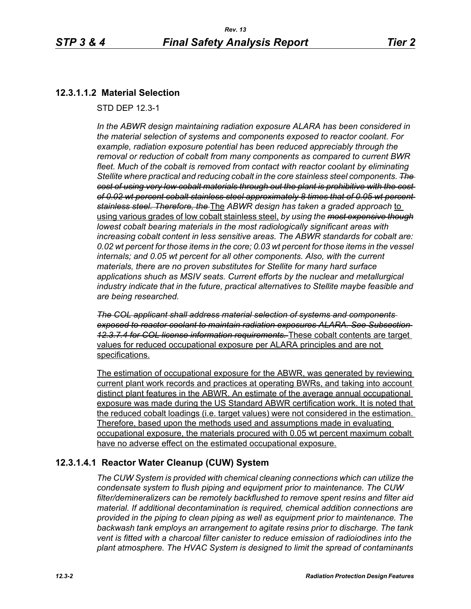## **12.3.1.1.2 Material Selection**

STD DEP 12.3-1

*In the ABWR design maintaining radiation exposure ALARA has been considered in the material selection of systems and components exposed to reactor coolant. For example, radiation exposure potential has been reduced appreciably through the removal or reduction of cobalt from many components as compared to current BWR fleet. Much of the cobalt is removed from contact with reactor coolant by eliminating Stellite where practical and reducing cobalt in the core stainless steel components. The cost of using very low cobalt materials through out the plant is prohibitive with the cost of 0.02 wt percent cobalt stainless steel approximately 8 times that of 0.05 wt percent stainless steel. Therefore, the* The *ABWR design has taken a graded approach* to using various grades of low cobalt stainless steel, *by using the most expensive though lowest cobalt bearing materials in the most radiologically significant areas with increasing cobalt content in less sensitive areas. The ABWR standards for cobalt are: 0.02 wt percent for those items in the core; 0.03 wt percent for those items in the vessel internals; and 0.05 wt percent for all other components. Also, with the current materials, there are no proven substitutes for Stellite for many hard surface applications shuch as MSIV seats. Current efforts by the nuclear and metallurgical industry indicate that in the future, practical alternatives to Stellite maybe feasible and are being researched.*

*The COL applicant shall address material selection of systems and components exposed to reactor coolant to maintain radiation exposures ALARA. See Subsection 12.3.7.4 for COL license information requirements.* These cobalt contents are target values for reduced occupational exposure per ALARA principles and are not specifications.

The estimation of occupational exposure for the ABWR, was generated by reviewing current plant work records and practices at operating BWRs, and taking into account distinct plant features in the ABWR. An estimate of the average annual occupational exposure was made during the US Standard ABWR certification work. It is noted that the reduced cobalt loadings (i.e. target values) were not considered in the estimation. Therefore, based upon the methods used and assumptions made in evaluating occupational exposure, the materials procured with 0.05 wt percent maximum cobalt have no adverse effect on the estimated occupational exposure.

## **12.3.1.4.1 Reactor Water Cleanup (CUW) System**

*The CUW System is provided with chemical cleaning connections which can utilize the condensate system to flush piping and equipment prior to maintenance. The CUW filter/demineralizers can be remotely backflushed to remove spent resins and filter aid material. If additional decontamination is required, chemical addition connections are provided in the piping to clean piping as well as equipment prior to maintenance. The backwash tank employs an arrangement to agitate resins prior to discharge. The tank vent is fitted with a charcoal filter canister to reduce emission of radioiodines into the plant atmosphere. The HVAC System is designed to limit the spread of contaminants*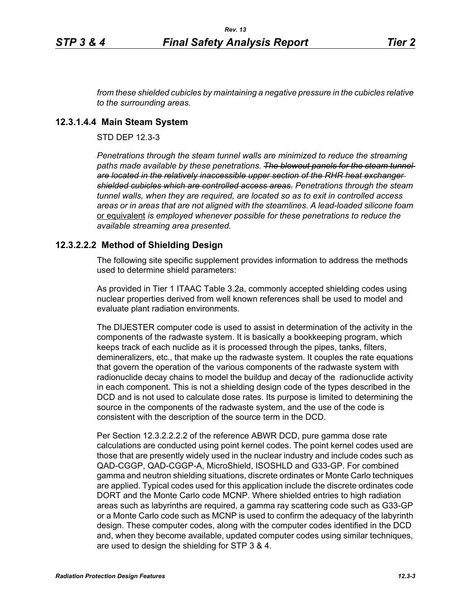*from these shielded cubicles by maintaining a negative pressure in the cubicles relative to the surrounding areas.*

#### **12.3.1.4.4 Main Steam System**

STD DEP 12.3-3

*Penetrations through the steam tunnel walls are minimized to reduce the streaming*  paths made available by these penetrations. The blowout panels for the steam tunnel*are located in the relatively inaccessible upper section of the RHR heat exchanger shielded cubicles which are controlled access areas. Penetrations through the steam tunnel walls, when they are required, are located so as to exit in controlled access areas or in areas that are not aligned with the steamlines. A lead-loaded silicone foam*  or equivalent *is employed whenever possible for these penetrations to reduce the available streaming area presented.*

### **12.3.2.2.2 Method of Shielding Design**

The following site specific supplement provides information to address the methods used to determine shield parameters:

As provided in Tier 1 ITAAC Table 3.2a, commonly accepted shielding codes using nuclear properties derived from well known references shall be used to model and evaluate plant radiation environments.

The DIJESTER computer code is used to assist in determination of the activity in the components of the radwaste system. It is basically a bookkeeping program, which keeps track of each nuclide as it is processed through the pipes, tanks, filters, demineralizers, etc., that make up the radwaste system. It couples the rate equations that govern the operation of the various components of the radwaste system with radionuclide decay chains to model the buildup and decay of the radionuclide activity in each component. This is not a shielding design code of the types described in the DCD and is not used to calculate dose rates. Its purpose is limited to determining the source in the components of the radwaste system, and the use of the code is consistent with the description of the source term in the DCD.

Per Section 12.3.2.2.2.2 of the reference ABWR DCD, pure gamma dose rate calculations are conducted using point kernel codes. The point kernel codes used are those that are presently widely used in the nuclear industry and include codes such as QAD-CGGP, QAD-CGGP-A, MicroShield, ISOSHLD and G33-GP. For combined gamma and neutron shielding situations, discrete ordinates or Monte Carlo techniques are applied. Typical codes used for this application include the discrete ordinates code DORT and the Monte Carlo code MCNP. Where shielded entries to high radiation areas such as labyrinths are required, a gamma ray scattering code such as G33-GP or a Monte Carlo code such as MCNP is used to confirm the adequacy of the labyrinth design. These computer codes, along with the computer codes identified in the DCD and, when they become available, updated computer codes using similar techniques, are used to design the shielding for STP 3 & 4.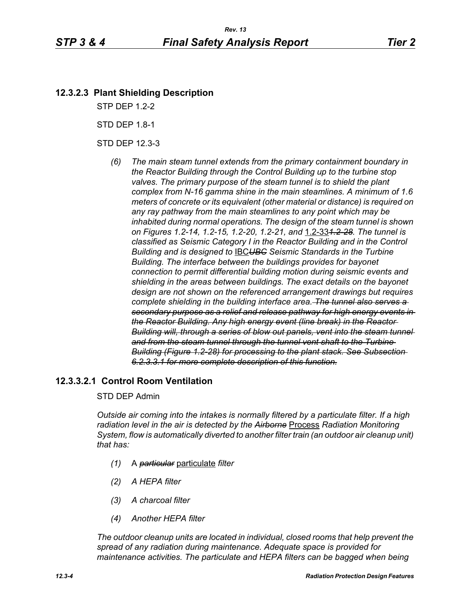## **12.3.2.3 Plant Shielding Description**

STP DEP 1.2-2

STD DEP 1.8-1

STD DEP 12.3-3

*(6) The main steam tunnel extends from the primary containment boundary in the Reactor Building through the Control Building up to the turbine stop*  valves. The primary purpose of the steam tunnel is to shield the plant *complex from N-16 gamma shine in the main steamlines. A minimum of 1.6 meters of concrete or its equivalent (other material or distance) is required on any ray pathway from the main steamlines to any point which may be inhabited during normal operations. The design of the steam tunnel is shown on Figures 1.2-14, 1.2-15, 1.2-20, 1.2-21, and* 1.2-33*1.2-28. The tunnel is classified as Seismic Category I in the Reactor Building and in the Control Building and is designed to* IBC*UBC Seismic Standards in the Turbine Building. The interface between the buildings provides for bayonet connection to permit differential building motion during seismic events and shielding in the areas between buildings. The exact details on the bayonet design are not shown on the referenced arrangement drawings but requires complete shielding in the building interface area. The tunnel also serves a secondary purpose as a relief and release pathway for high energy events in the Reactor Building. Any high energy event (line break) in the Reactor*  **Building will, through a series of blow out panels, vent into the steam tunnel** *and from the steam tunnel through the tunnel vent shaft to the Turbine Building (Figure 1.2-28) for processing to the plant stack. See Subsection 6.2.3.3.1 for more complete description of this function.*

## **12.3.3.2.1 Control Room Ventilation**

#### STD DEP Admin

*Outside air coming into the intakes is normally filtered by a particulate filter. If a high radiation level in the air is detected by the Airborne* Process *Radiation Monitoring System, flow is automatically diverted to another filter train (an outdoor air cleanup unit) that has:*

- *(1)* A *particular* particulate *filter*
- *(2) A HEPA filter*
- *(3) A charcoal filter*
- *(4) Another HEPA filter*

*The outdoor cleanup units are located in individual, closed rooms that help prevent the spread of any radiation during maintenance. Adequate space is provided for maintenance activities. The particulate and HEPA filters can be bagged when being*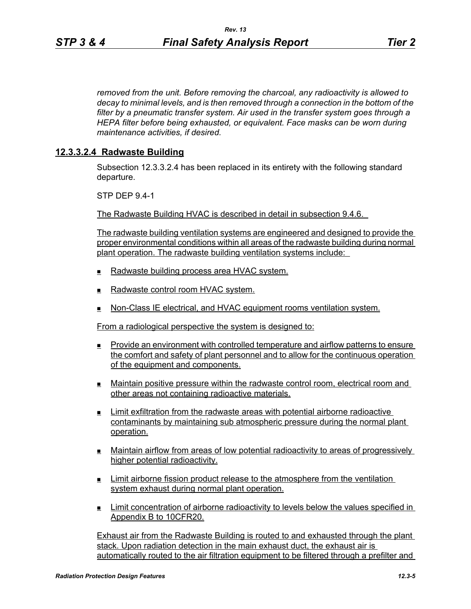*removed from the unit. Before removing the charcoal, any radioactivity is allowed to decay to minimal levels, and is then removed through a connection in the bottom of the filter by a pneumatic transfer system. Air used in the transfer system goes through a HEPA filter before being exhausted, or equivalent. Face masks can be worn during maintenance activities, if desired.*

## **12.3.3.2.4 Radwaste Building**

Subsection 12.3.3.2.4 has been replaced in its entirety with the following standard departure.

STP DEP 9.4-1

The Radwaste Building HVAC is described in detail in subsection 9.4.6.

The radwaste building ventilation systems are engineered and designed to provide the proper environmental conditions within all areas of the radwaste building during normal plant operation. The radwaste building ventilation systems include:

- Radwaste building process area HVAC system.
- $\blacksquare$  Radwaste control room HVAC system.
- **Non-Class IE electrical, and HVAC equipment rooms ventilation system.**

From a radiological perspective the system is designed to:

- Provide an environment with controlled temperature and airflow patterns to ensure the comfort and safety of plant personnel and to allow for the continuous operation of the equipment and components.
- Maintain positive pressure within the radwaste control room, electrical room and other areas not containing radioactive materials.
- Limit exfiltration from the radwaste areas with potential airborne radioactive contaminants by maintaining sub atmospheric pressure during the normal plant operation.
- Maintain airflow from areas of low potential radioactivity to areas of progressively higher potential radioactivity.
- **Limit airborne fission product release to the atmosphere from the ventilation** system exhaust during normal plant operation.
- Limit concentration of airborne radioactivity to levels below the values specified in Appendix B to 10CFR20.

Exhaust air from the Radwaste Building is routed to and exhausted through the plant stack. Upon radiation detection in the main exhaust duct, the exhaust air is automatically routed to the air filtration equipment to be filtered through a prefilter and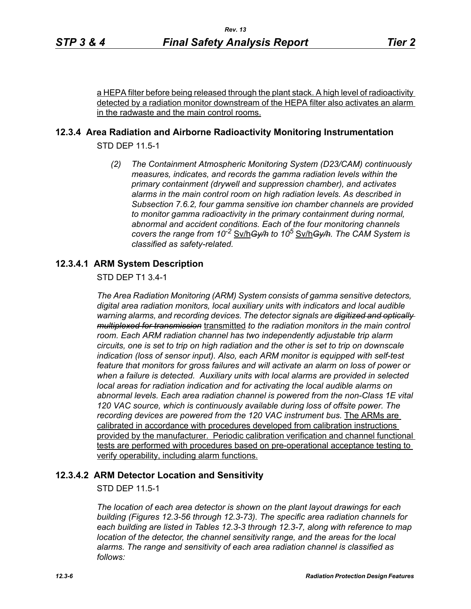a HEPA filter before being released through the plant stack. A high level of radioactivity detected by a radiation monitor downstream of the HEPA filter also activates an alarm in the radwaste and the main control rooms.

## **12.3.4 Area Radiation and Airborne Radioactivity Monitoring Instrumentation**

STD DEP 11.5-1

*(2) The Containment Atmospheric Monitoring System (D23/CAM) continuously measures, indicates, and records the gamma radiation levels within the primary containment (drywell and suppression chamber), and activates alarms in the main control room on high radiation levels. As described in Subsection 7.6.2, four gamma sensitive ion chamber channels are provided to monitor gamma radioactivity in the primary containment during normal, abnormal and accident conditions. Each of the four monitoring channels covers the range from 10-2* Sv/h*Gy/h to 10<sup>5</sup>* Sv/h*Gy/h. The CAM System is classified as safety-related.*

## **12.3.4.1 ARM System Description**

STD DEP T1 3.4-1

*The Area Radiation Monitoring (ARM) System consists of gamma sensitive detectors, digital area radiation monitors, local auxiliary units with indicators and local audible warning alarms, and recording devices. The detector signals are digitized and optically multiplexed for transmission* transmitted *to the radiation monitors in the main control room. Each ARM radiation channel has two independently adjustable trip alarm circuits, one is set to trip on high radiation and the other is set to trip on downscale indication (loss of sensor input). Also, each ARM monitor is equipped with self-test feature that monitors for gross failures and will activate an alarm on loss of power or when a failure is detected. Auxiliary units with local alarms are provided in selected local areas for radiation indication and for activating the local audible alarms on abnormal levels. Each area radiation channel is powered from the non-Class 1E vital 120 VAC source, which is continuously available during loss of offsite power. The recording devices are powered from the 120 VAC instrument bus.* The ARMs are calibrated in accordance with procedures developed from calibration instructions provided by the manufacturer. Periodic calibration verification and channel functional tests are performed with procedures based on pre-operational acceptance testing to verify operability, including alarm functions.

## **12.3.4.2 ARM Detector Location and Sensitivity**

STD DEP 11.5-1

*The location of each area detector is shown on the plant layout drawings for each building (Figures 12.3-56 through 12.3-73). The specific area radiation channels for each building are listed in Tables 12.3-3 through 12.3-7, along with reference to map location of the detector, the channel sensitivity range, and the areas for the local alarms. The range and sensitivity of each area radiation channel is classified as follows:*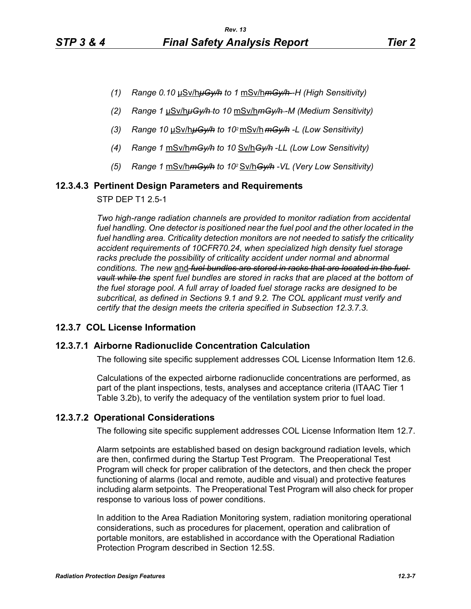- *(1) Range 0.10* μSv/h*μGy/h to 1* mSv/h*mGy/h -H (High Sensitivity)*
- *(2) Range 1* μSv/h*μGy/h to 10* mSv/h*mGy/h -M (Medium Sensitivity)*
- *(3) Range 10* μSv/h*μGy/h to 102* mSv/h *mGy/h -L (Low Sensitivity)*
- *(4) Range 1* mSv/h*mGy/h to 10* Sv/h*Gy/h* -*LL (Low Low Sensitivity)*
- *(5) Range 1* mSv/h*mGy/h to 102* Sv/h*Gy/h -VL (Very Low Sensitivity)*

#### **12.3.4.3 Pertinent Design Parameters and Requirements**

STP DEP T1 2.5-1

*Two high-range radiation channels are provided to monitor radiation from accidental*  fuel handling. One detector is positioned near the fuel pool and the other located in the *fuel handling area. Criticality detection monitors are not needed to satisfy the criticality accident requirements of 10CFR70.24, when specialized high density fuel storage*  racks preclude the possibility of criticality accident under normal and abnormal *conditions. The new* and *fuel bundles are stored in racks that are located in the fuel vault while the spent fuel bundles are stored in racks that are placed at the bottom of the fuel storage pool. A full array of loaded fuel storage racks are designed to be subcritical, as defined in Sections 9.1 and 9.2. The COL applicant must verify and certify that the design meets the criteria specified in Subsection 12.3.7.3.*

#### **12.3.7 COL License Information**

#### **12.3.7.1 Airborne Radionuclide Concentration Calculation**

The following site specific supplement addresses COL License Information Item 12.6.

Calculations of the expected airborne radionuclide concentrations are performed, as part of the plant inspections, tests, analyses and acceptance criteria (ITAAC Tier 1 Table 3.2b), to verify the adequacy of the ventilation system prior to fuel load.

### **12.3.7.2 Operational Considerations**

The following site specific supplement addresses COL License Information Item 12.7.

Alarm setpoints are established based on design background radiation levels, which are then, confirmed during the Startup Test Program. The Preoperational Test Program will check for proper calibration of the detectors, and then check the proper functioning of alarms (local and remote, audible and visual) and protective features including alarm setpoints. The Preoperational Test Program will also check for proper response to various loss of power conditions.

In addition to the Area Radiation Monitoring system, radiation monitoring operational considerations, such as procedures for placement, operation and calibration of portable monitors, are established in accordance with the Operational Radiation Protection Program described in Section 12.5S.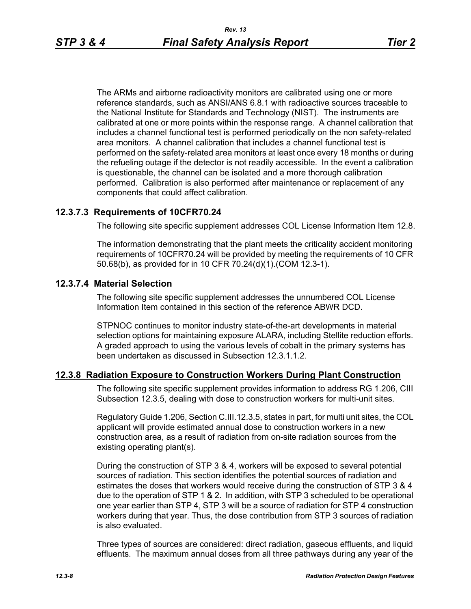The ARMs and airborne radioactivity monitors are calibrated using one or more reference standards, such as ANSI/ANS 6.8.1 with radioactive sources traceable to the National Institute for Standards and Technology (NIST). The instruments are calibrated at one or more points within the response range. A channel calibration that includes a channel functional test is performed periodically on the non safety-related area monitors. A channel calibration that includes a channel functional test is performed on the safety-related area monitors at least once every 18 months or during the refueling outage if the detector is not readily accessible. In the event a calibration is questionable, the channel can be isolated and a more thorough calibration performed. Calibration is also performed after maintenance or replacement of any components that could affect calibration.

## **12.3.7.3 Requirements of 10CFR70.24**

The following site specific supplement addresses COL License Information Item 12.8.

The information demonstrating that the plant meets the criticality accident monitoring requirements of 10CFR70.24 will be provided by meeting the requirements of 10 CFR 50.68(b), as provided for in 10 CFR 70.24(d)(1).(COM 12.3-1).

### **12.3.7.4 Material Selection**

The following site specific supplement addresses the unnumbered COL License Information Item contained in this section of the reference ABWR DCD.

STPNOC continues to monitor industry state-of-the-art developments in material selection options for maintaining exposure ALARA, including Stellite reduction efforts. A graded approach to using the various levels of cobalt in the primary systems has been undertaken as discussed in Subsection 12.3.1.1.2.

#### **12.3.8 Radiation Exposure to Construction Workers During Plant Construction**

The following site specific supplement provides information to address RG 1.206, CIII Subsection 12.3.5, dealing with dose to construction workers for multi-unit sites.

Regulatory Guide 1.206, Section C.III.12.3.5, states in part, for multi unit sites, the COL applicant will provide estimated annual dose to construction workers in a new construction area, as a result of radiation from on-site radiation sources from the existing operating plant(s).

During the construction of STP 3 & 4, workers will be exposed to several potential sources of radiation. This section identifies the potential sources of radiation and estimates the doses that workers would receive during the construction of STP 3 & 4 due to the operation of STP 1 & 2. In addition, with STP 3 scheduled to be operational one year earlier than STP 4, STP 3 will be a source of radiation for STP 4 construction workers during that year. Thus, the dose contribution from STP 3 sources of radiation is also evaluated.

Three types of sources are considered: direct radiation, gaseous effluents, and liquid effluents. The maximum annual doses from all three pathways during any year of the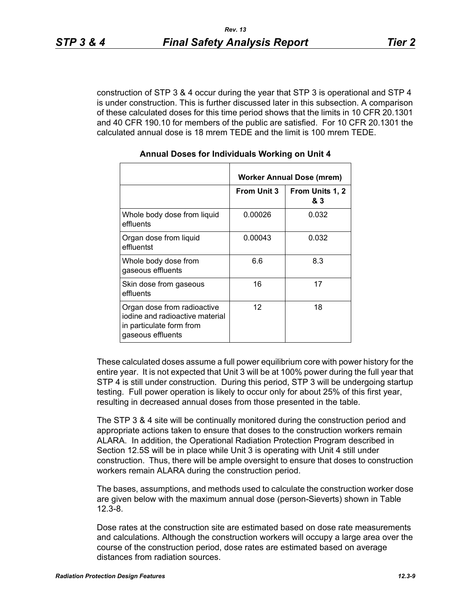construction of STP 3 & 4 occur during the year that STP 3 is operational and STP 4 is under construction. This is further discussed later in this subsection. A comparison of these calculated doses for this time period shows that the limits in 10 CFR 20.1301 and 40 CFR 190.10 for members of the public are satisfied. For 10 CFR 20.1301 the calculated annual dose is 18 mrem TEDE and the limit is 100 mrem TEDE.

|                                                                                                                 | <b>Worker Annual Dose (mrem)</b> |                        |  |
|-----------------------------------------------------------------------------------------------------------------|----------------------------------|------------------------|--|
|                                                                                                                 | <b>From Unit 3</b>               | From Units 1, 2<br>& 3 |  |
| Whole body dose from liquid<br>effluents                                                                        | 0.00026                          | 0.032                  |  |
| Organ dose from liquid<br>effluentst                                                                            | 0.00043                          | 0.032                  |  |
| Whole body dose from<br>gaseous effluents                                                                       | 6.6                              | 8.3                    |  |
| Skin dose from gaseous<br>effluents                                                                             | 16                               | 17                     |  |
| Organ dose from radioactive<br>iodine and radioactive material<br>in particulate form from<br>gaseous effluents | $12 \overline{ }$                | 18                     |  |

#### **Annual Doses for Individuals Working on Unit 4**

These calculated doses assume a full power equilibrium core with power history for the entire year. It is not expected that Unit 3 will be at 100% power during the full year that STP 4 is still under construction. During this period, STP 3 will be undergoing startup testing. Full power operation is likely to occur only for about 25% of this first year, resulting in decreased annual doses from those presented in the table.

The STP 3 & 4 site will be continually monitored during the construction period and appropriate actions taken to ensure that doses to the construction workers remain ALARA. In addition, the Operational Radiation Protection Program described in Section 12.5S will be in place while Unit 3 is operating with Unit 4 still under construction. Thus, there will be ample oversight to ensure that doses to construction workers remain ALARA during the construction period.

The bases, assumptions, and methods used to calculate the construction worker dose are given below with the maximum annual dose (person-Sieverts) shown in Table 12.3-8.

Dose rates at the construction site are estimated based on dose rate measurements and calculations. Although the construction workers will occupy a large area over the course of the construction period, dose rates are estimated based on average distances from radiation sources.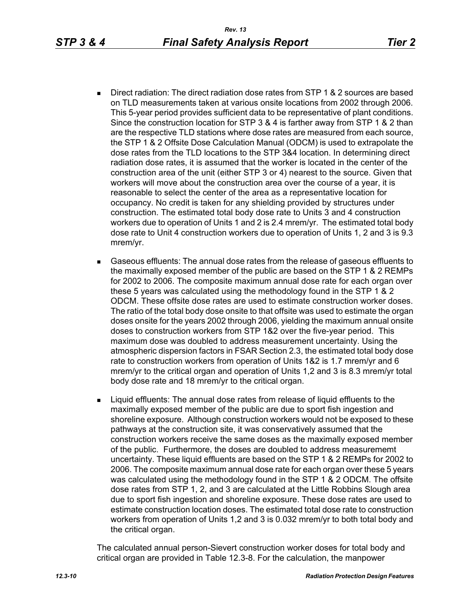- Direct radiation: The direct radiation dose rates from STP 1 & 2 sources are based on TLD measurements taken at various onsite locations from 2002 through 2006. This 5-year period provides sufficient data to be representative of plant conditions. Since the construction location for STP 3 & 4 is farther away from STP 1 & 2 than are the respective TLD stations where dose rates are measured from each source, the STP 1 & 2 Offsite Dose Calculation Manual (ODCM) is used to extrapolate the dose rates from the TLD locations to the STP 3&4 location. In determining direct radiation dose rates, it is assumed that the worker is located in the center of the construction area of the unit (either STP 3 or 4) nearest to the source. Given that workers will move about the construction area over the course of a year, it is reasonable to select the center of the area as a representative location for occupancy. No credit is taken for any shielding provided by structures under construction. The estimated total body dose rate to Units 3 and 4 construction workers due to operation of Units 1 and 2 is 2.4 mrem/yr. The estimated total body dose rate to Unit 4 construction workers due to operation of Units 1, 2 and 3 is 9.3 mrem/yr.
- Gaseous effluents: The annual dose rates from the release of gaseous effluents to the maximally exposed member of the public are based on the STP 1 & 2 REMPs for 2002 to 2006. The composite maximum annual dose rate for each organ over these 5 years was calculated using the methodology found in the STP 1 & 2 ODCM. These offsite dose rates are used to estimate construction worker doses. The ratio of the total body dose onsite to that offsite was used to estimate the organ doses onsite for the years 2002 through 2006, yielding the maximum annual onsite doses to construction workers from STP 1&2 over the five-year period. This maximum dose was doubled to address measurement uncertainty. Using the atmospheric dispersion factors in FSAR Section 2.3, the estimated total body dose rate to construction workers from operation of Units 1&2 is 1.7 mrem/yr and 6 mrem/yr to the critical organ and operation of Units 1,2 and 3 is 8.3 mrem/yr total body dose rate and 18 mrem/yr to the critical organ.
- Liquid effluents: The annual dose rates from release of liquid effluents to the maximally exposed member of the public are due to sport fish ingestion and shoreline exposure. Although construction workers would not be exposed to these pathways at the construction site, it was conservatively assumed that the construction workers receive the same doses as the maximally exposed member of the public. Furthermore, the doses are doubled to address measurememt uncertainty. These liquid effluents are based on the STP 1 & 2 REMPs for 2002 to 2006. The composite maximum annual dose rate for each organ over these 5 years was calculated using the methodology found in the STP 1 & 2 ODCM. The offsite dose rates from STP 1, 2, and 3 are calculated at the Little Robbins Slough area due to sport fish ingestion and shoreline exposure. These dose rates are used to estimate construction location doses. The estimated total dose rate to construction workers from operation of Units 1,2 and 3 is 0.032 mrem/yr to both total body and the critical organ.

The calculated annual person-Sievert construction worker doses for total body and critical organ are provided in Table 12.3-8. For the calculation, the manpower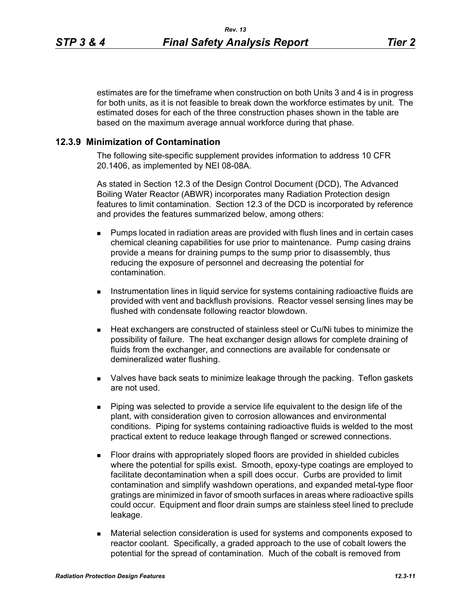estimates are for the timeframe when construction on both Units 3 and 4 is in progress for both units, as it is not feasible to break down the workforce estimates by unit. The estimated doses for each of the three construction phases shown in the table are based on the maximum average annual workforce during that phase.

#### **12.3.9 Minimization of Contamination**

The following site-specific supplement provides information to address 10 CFR 20.1406, as implemented by NEI 08-08A.

As stated in Section 12.3 of the Design Control Document (DCD), The Advanced Boiling Water Reactor (ABWR) incorporates many Radiation Protection design features to limit contamination. Section 12.3 of the DCD is incorporated by reference and provides the features summarized below, among others:

- **Pumps located in radiation areas are provided with flush lines and in certain cases** chemical cleaning capabilities for use prior to maintenance. Pump casing drains provide a means for draining pumps to the sump prior to disassembly, thus reducing the exposure of personnel and decreasing the potential for contamination.
- **Instrumentation lines in liquid service for systems containing radioactive fluids are** provided with vent and backflush provisions. Reactor vessel sensing lines may be flushed with condensate following reactor blowdown.
- Heat exchangers are constructed of stainless steel or Cu/Ni tubes to minimize the possibility of failure. The heat exchanger design allows for complete draining of fluids from the exchanger, and connections are available for condensate or demineralized water flushing.
- Valves have back seats to minimize leakage through the packing. Teflon gaskets are not used.
- Piping was selected to provide a service life equivalent to the design life of the plant, with consideration given to corrosion allowances and environmental conditions. Piping for systems containing radioactive fluids is welded to the most practical extent to reduce leakage through flanged or screwed connections.
- Floor drains with appropriately sloped floors are provided in shielded cubicles where the potential for spills exist. Smooth, epoxy-type coatings are employed to facilitate decontamination when a spill does occur. Curbs are provided to limit contamination and simplify washdown operations, and expanded metal-type floor gratings are minimized in favor of smooth surfaces in areas where radioactive spills could occur. Equipment and floor drain sumps are stainless steel lined to preclude leakage.
- Material selection consideration is used for systems and components exposed to reactor coolant. Specifically, a graded approach to the use of cobalt lowers the potential for the spread of contamination. Much of the cobalt is removed from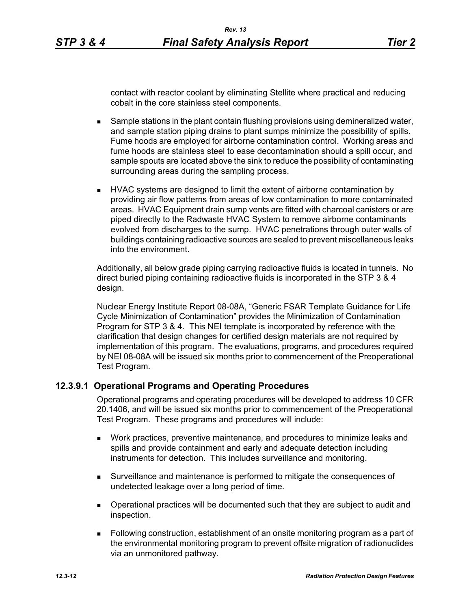contact with reactor coolant by eliminating Stellite where practical and reducing cobalt in the core stainless steel components.

- **Sample stations in the plant contain flushing provisions using demineralized water,** and sample station piping drains to plant sumps minimize the possibility of spills. Fume hoods are employed for airborne contamination control. Working areas and fume hoods are stainless steel to ease decontamination should a spill occur, and sample spouts are located above the sink to reduce the possibility of contaminating surrounding areas during the sampling process.
- **HVAC systems are designed to limit the extent of airborne contamination by** providing air flow patterns from areas of low contamination to more contaminated areas. HVAC Equipment drain sump vents are fitted with charcoal canisters or are piped directly to the Radwaste HVAC System to remove airborne contaminants evolved from discharges to the sump. HVAC penetrations through outer walls of buildings containing radioactive sources are sealed to prevent miscellaneous leaks into the environment.

Additionally, all below grade piping carrying radioactive fluids is located in tunnels. No direct buried piping containing radioactive fluids is incorporated in the STP 3 & 4 design.

Nuclear Energy Institute Report 08-08A, "Generic FSAR Template Guidance for Life Cycle Minimization of Contamination" provides the Minimization of Contamination Program for STP 3 & 4. This NEI template is incorporated by reference with the clarification that design changes for certified design materials are not required by implementation of this program. The evaluations, programs, and procedures required by NEI 08-08A will be issued six months prior to commencement of the Preoperational Test Program.

### **12.3.9.1 Operational Programs and Operating Procedures**

Operational programs and operating procedures will be developed to address 10 CFR 20.1406, and will be issued six months prior to commencement of the Preoperational Test Program. These programs and procedures will include:

- Work practices, preventive maintenance, and procedures to minimize leaks and spills and provide containment and early and adequate detection including instruments for detection. This includes surveillance and monitoring.
- Surveillance and maintenance is performed to mitigate the consequences of undetected leakage over a long period of time.
- Operational practices will be documented such that they are subject to audit and inspection.
- Following construction, establishment of an onsite monitoring program as a part of the environmental monitoring program to prevent offsite migration of radionuclides via an unmonitored pathway.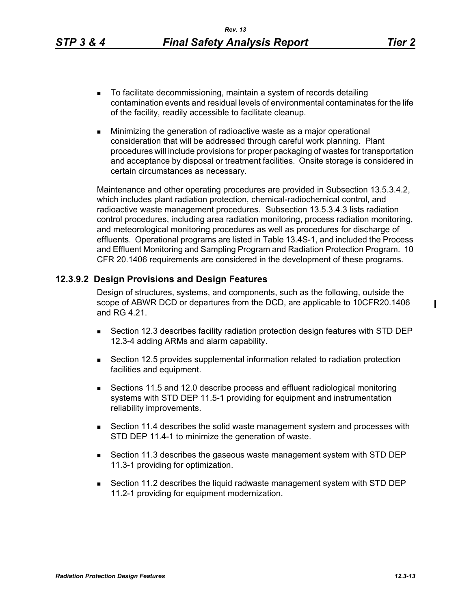- To facilitate decommissioning, maintain a system of records detailing contamination events and residual levels of environmental contaminates for the life of the facility, readily accessible to facilitate cleanup.
- **Minimizing the generation of radioactive waste as a major operational** consideration that will be addressed through careful work planning. Plant procedures will include provisions for proper packaging of wastes for transportation and acceptance by disposal or treatment facilities. Onsite storage is considered in certain circumstances as necessary.

Maintenance and other operating procedures are provided in Subsection 13.5.3.4.2, which includes plant radiation protection, chemical-radiochemical control, and radioactive waste management procedures. Subsection 13.5.3.4.3 lists radiation control procedures, including area radiation monitoring, process radiation monitoring, and meteorological monitoring procedures as well as procedures for discharge of effluents. Operational programs are listed in Table 13.4S-1, and included the Process and Effluent Monitoring and Sampling Program and Radiation Protection Program. 10 CFR 20.1406 requirements are considered in the development of these programs.

## **12.3.9.2 Design Provisions and Design Features**

Design of structures, systems, and components, such as the following, outside the scope of ABWR DCD or departures from the DCD, are applicable to 10CFR20.1406 and RG 4.21.

- Section 12.3 describes facility radiation protection design features with STD DEP 12.3-4 adding ARMs and alarm capability.
- Section 12.5 provides supplemental information related to radiation protection facilities and equipment.
- Sections 11.5 and 12.0 describe process and effluent radiological monitoring systems with STD DEP 11.5-1 providing for equipment and instrumentation reliability improvements.
- Section 11.4 describes the solid waste management system and processes with STD DEP 11.4-1 to minimize the generation of waste.
- Section 11.3 describes the gaseous waste management system with STD DEP 11.3-1 providing for optimization.
- Section 11.2 describes the liquid radwaste management system with STD DEP 11.2-1 providing for equipment modernization.

 $\blacksquare$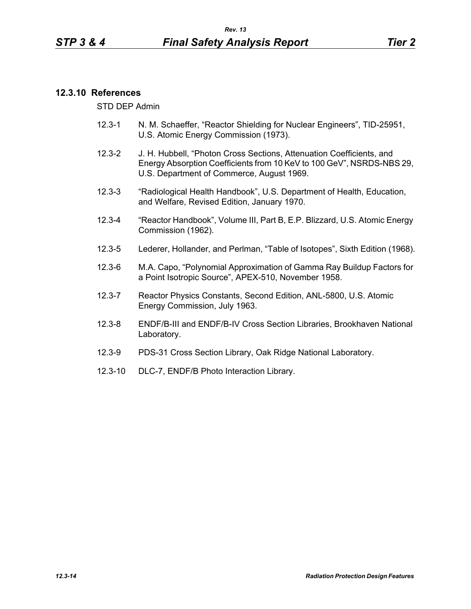## **12.3.10 References**

STD DEP Admin

- 12.3-1 N. M. Schaeffer, "Reactor Shielding for Nuclear Engineers", TID-25951, U.S. Atomic Energy Commission (1973).
- 12.3-2 J. H. Hubbell, "Photon Cross Sections, Attenuation Coefficients, and Energy Absorption Coefficients from 10 KeV to 100 GeV", NSRDS-NBS 29, U.S. Department of Commerce, August 1969.
- 12.3-3 "Radiological Health Handbook", U.S. Department of Health, Education, and Welfare, Revised Edition, January 1970.
- 12.3-4 "Reactor Handbook", Volume III, Part B, E.P. Blizzard, U.S. Atomic Energy Commission (1962).
- 12.3-5 Lederer, Hollander, and Perlman, "Table of Isotopes", Sixth Edition (1968).
- 12.3-6 M.A. Capo, "Polynomial Approximation of Gamma Ray Buildup Factors for a Point Isotropic Source", APEX-510, November 1958.
- 12.3-7 Reactor Physics Constants, Second Edition, ANL-5800, U.S. Atomic Energy Commission, July 1963.
- 12.3-8 ENDF/B-III and ENDF/B-IV Cross Section Libraries, Brookhaven National Laboratory.
- 12.3-9 PDS-31 Cross Section Library, Oak Ridge National Laboratory.
- 12.3-10 DLC-7, ENDF/B Photo Interaction Library.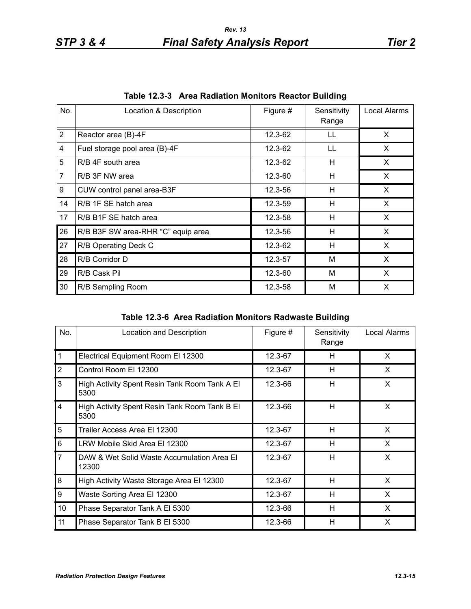| No.            | Location & Description             | Figure # | Sensitivity<br>Range | Local Alarms |
|----------------|------------------------------------|----------|----------------------|--------------|
| $\overline{2}$ | Reactor area (B)-4F                | 12.3-62  | LL                   | X            |
| 4              | Fuel storage pool area (B)-4F      | 12.3-62  | LL                   | X            |
| 5              | R/B 4F south area                  | 12.3-62  | H                    | X.           |
| $\overline{7}$ | R/B 3F NW area                     | 12.3-60  | н                    | X            |
| 9              | CUW control panel area-B3F         | 12.3-56  | H                    | X            |
| 14             | R/B 1F SE hatch area               | 12.3-59  | H                    | X.           |
| 17             | R/B B1F SE hatch area              | 12.3-58  | H                    | X            |
| 26             | R/B B3F SW area-RHR "C" equip area | 12.3-56  | H                    | X            |
| 27             | R/B Operating Deck C               | 12.3-62  | н                    | X            |
| 28             | R/B Corridor D                     | 12.3-57  | M                    | X            |
| 29             | R/B Cask Pil                       | 12.3-60  | м                    | X            |
| 30             | R/B Sampling Room                  | 12.3-58  | M                    | X            |

**Table 12.3-3 Area Radiation Monitors Reactor Building**

|  | Table 12.3-6 Area Radiation Monitors Radwaste Building |  |  |
|--|--------------------------------------------------------|--|--|
|--|--------------------------------------------------------|--|--|

| No.            | Location and Description                              | Figure # | Sensitivity<br>Range | Local Alarms |
|----------------|-------------------------------------------------------|----------|----------------------|--------------|
| $\mathbf{1}$   | Electrical Equipment Room El 12300                    | 12.3-67  | H                    | X            |
| $\overline{2}$ | Control Room El 12300                                 | 12.3-67  | H                    | X            |
| 3              | High Activity Spent Resin Tank Room Tank A El<br>5300 | 12.3-66  | H                    | X            |
| $\overline{4}$ | High Activity Spent Resin Tank Room Tank B El<br>5300 | 12.3-66  | H                    | X            |
| 5              | Trailer Access Area El 12300                          | 12.3-67  | н                    | X            |
| 6              | LRW Mobile Skid Area El 12300                         | 12.3-67  | н                    | X            |
| $\overline{7}$ | DAW & Wet Solid Waste Accumulation Area El<br>12300   | 12.3-67  | H                    | X            |
| 8              | High Activity Waste Storage Area El 12300             | 12.3-67  | H                    | X            |
| 9              | Waste Sorting Area El 12300                           | 12.3-67  | H                    | X            |
| 10             | Phase Separator Tank A El 5300                        | 12.3-66  | H                    | X            |
| 11             | Phase Separator Tank B El 5300                        | 12.3-66  | H                    | X            |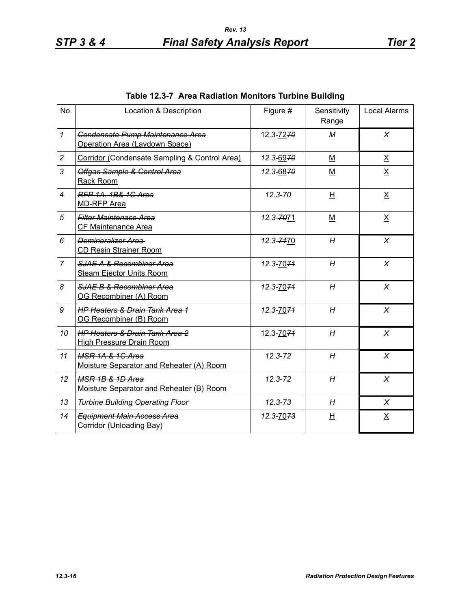| No.            | Location & Description                                                       | Figure #    | Sensitivity<br>Range     | <b>Local Alarms</b>     |
|----------------|------------------------------------------------------------------------------|-------------|--------------------------|-------------------------|
| $\mathbf{1}$   | Condensate Pump Maintenance Area<br>Operation Area (Laydown Space)           | 12.3-7270   | М                        | X                       |
| $\overline{c}$ | Corridor (Condensate Sampling & Control Area)                                | 12.3-6970   | M                        | $\underline{X}$         |
| 3              | Offgas Sample & Control Area<br>Rack Room                                    | 12.3-6870   | M                        | $\underline{X}$         |
| $\overline{4}$ | RFP 1A, 1B& 1C Area<br><b>MD-RFP Area</b>                                    | 12.3-70     | H                        | $\underline{X}$         |
| 5              | <b>Filter Maintenace Area</b><br><b>CF Maintenance Area</b>                  | 12.3-7071   | $\underline{\mathsf{M}}$ | $\underline{X}$         |
| 6              | Demineralizer Area<br><b>CD Resin Strainer Room</b>                          | 12.3-7470   | H                        | X                       |
| $\overline{7}$ | SJAE A & Recombiner Area<br><b>Steam Ejector Units Room</b>                  | 12.3-7074   | H                        | $\chi$                  |
| 8              | SJAE B & Recombiner Area<br>OG Recombiner (A) Room                           | 12.3-7074   | H                        | $\chi$                  |
| 9              | <b>HP Heaters &amp; Drain Tank Area 1</b><br>OG Recombiner (B) Room          | 12.3-7074   | H                        | $\chi$                  |
| 10             | <b>HP Heaters &amp; Drain Tank Area 2</b><br><b>High Pressure Drain Room</b> | 12.3-7071   | H                        | $\chi$                  |
| 11             | <b>MSR 1A &amp; 1C Area</b><br>Moisture Separator and Reheater (A) Room      | $12.3 - 72$ | H                        | X                       |
| 12             | <b>MSR 1B &amp; 1D Area</b><br>Moisture Separator and Reheater (B) Room      | $12.3 - 72$ | H                        | $\chi$                  |
| 13             | <b>Turbine Building Operating Floor</b>                                      | $12.3 - 73$ | H                        | X                       |
| 14             | <b>Equipment Main Access Area</b><br><b>Corridor (Unloading Bay)</b>         | 12.3-7073   | 旦                        | $\overline{\mathsf{X}}$ |

## **Table 12.3-7 Area Radiation Monitors Turbine Building**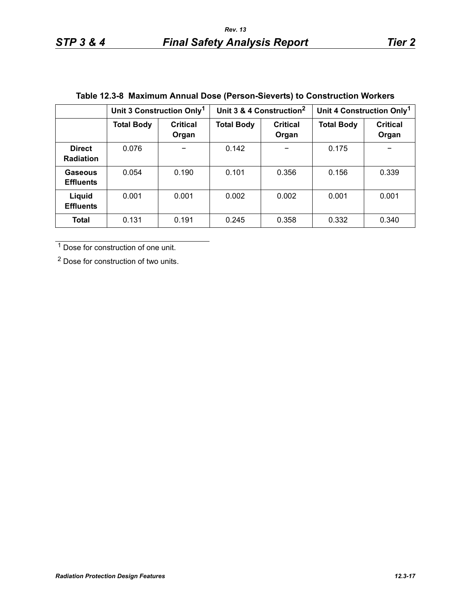|                                   | Unit 3 Construction Only <sup>1</sup> |                          | Unit 3 & 4 Construction <sup>2</sup> |                          | Unit 4 Construction Only <sup>1</sup> |                          |
|-----------------------------------|---------------------------------------|--------------------------|--------------------------------------|--------------------------|---------------------------------------|--------------------------|
|                                   | <b>Total Body</b>                     | <b>Critical</b><br>Organ | <b>Total Body</b>                    | <b>Critical</b><br>Organ | <b>Total Body</b>                     | <b>Critical</b><br>Organ |
| <b>Direct</b><br><b>Radiation</b> | 0.076                                 |                          | 0.142                                |                          | 0.175                                 |                          |
| Gaseous<br><b>Effluents</b>       | 0.054                                 | 0.190                    | 0.101                                | 0.356                    | 0.156                                 | 0.339                    |
| Liquid<br><b>Effluents</b>        | 0.001                                 | 0.001                    | 0.002                                | 0.002                    | 0.001                                 | 0.001                    |
| <b>Total</b>                      | 0.131                                 | 0.191                    | 0.245                                | 0.358                    | 0.332                                 | 0.340                    |

# **Table 12.3-8 Maximum Annual Dose (Person-Sieverts) to Construction Workers**

<sup>1</sup> Dose for construction of one unit.

2 Dose for construction of two units.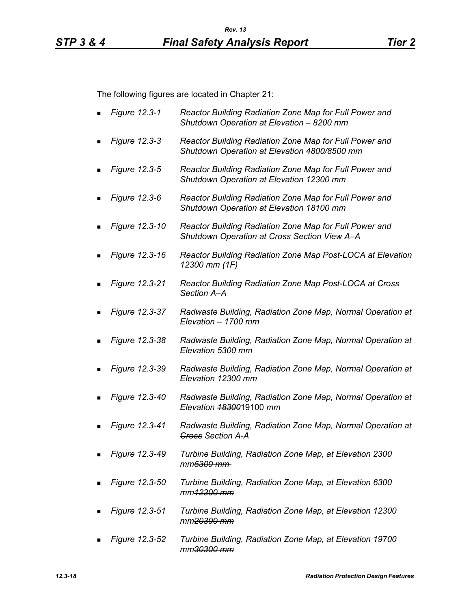The following figures are located in Chapter 21:

- *Figure 12.3-1 Reactor Building Radiation Zone Map for Full Power and Shutdown Operation at Elevation – 8200 mm*
- *Figure 12.3-3 Reactor Building Radiation Zone Map for Full Power and Shutdown Operation at Elevation 4800/8500 mm*
- *Figure 12.3-5 Reactor Building Radiation Zone Map for Full Power and Shutdown Operation at Elevation 12300 mm*
- *Figure 12.3-6 Reactor Building Radiation Zone Map for Full Power and Shutdown Operation at Elevation 18100 mm*
- *Figure 12.3-10 Reactor Building Radiation Zone Map for Full Power and Shutdown Operation at Cross Section View A–A*
- *Figure 12.3-16 Reactor Building Radiation Zone Map Post-LOCA at Elevation 12300 mm (1F)*
- *Figure 12.3-21 Reactor Building Radiation Zone Map Post-LOCA at Cross Section A–A*
- *Figure 12.3-37 Radwaste Building, Radiation Zone Map, Normal Operation at Elevation – 1700 mm*
- *Figure 12.3-38 Radwaste Building, Radiation Zone Map, Normal Operation at Elevation 5300 mm*
- *Figure 12.3-39 Radwaste Building, Radiation Zone Map, Normal Operation at Elevation 12300 mm*
- *Figure 12.3-40 Radwaste Building, Radiation Zone Map, Normal Operation at Elevation 18300*19100 *mm*
- *Figure 12.3-41 Radwaste Building, Radiation Zone Map, Normal Operation at Cross Section A-A*
- *Figure 12.3-49 Turbine Building, Radiation Zone Map, at Elevation 2300 mm5300 mm*
- *Figure 12.3-50 Turbine Building, Radiation Zone Map, at Elevation 6300 mm12300 mm*
- *Figure 12.3-51 Turbine Building, Radiation Zone Map, at Elevation 12300 mm20300 mm*
- *Figure 12.3-52 Turbine Building, Radiation Zone Map, at Elevation 19700 mm30300 mm*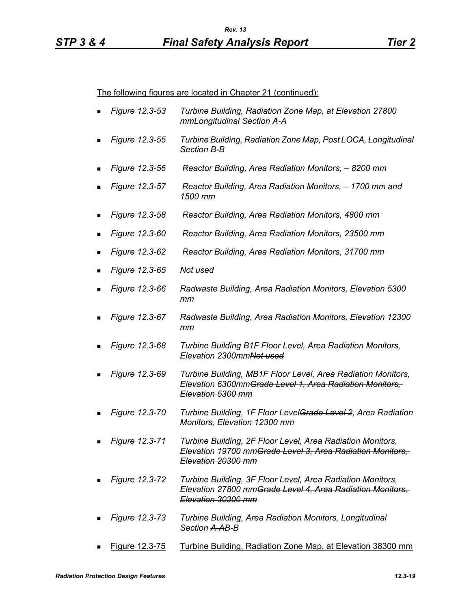The following figures are located in Chapter 21 (continued):

- *Figure 12.3-53 Turbine Building, Radiation Zone Map, at Elevation 27800 mmLongitudinal Section A-A*
- *Figure 12.3-55 Turbine Building, Radiation Zone Map, Post LOCA, Longitudinal Section B-B*
- *Figure 12.3-56 Reactor Building, Area Radiation Monitors, 8200 mm*
- *Figure 12.3-57 Reactor Building, Area Radiation Monitors, 1700 mm and 1500 mm*
- *Figure 12.3-58 Reactor Building, Area Radiation Monitors, 4800 mm*
- *Figure 12.3-60 Reactor Building, Area Radiation Monitors, 23500 mm*
- *Figure 12.3-62 Reactor Building, Area Radiation Monitors, 31700 mm*
- *Figure 12.3-65 Not used*
- *Figure 12.3-66 Radwaste Building, Area Radiation Monitors, Elevation 5300 mm*
- *Figure 12.3-67 Radwaste Building, Area Radiation Monitors, Elevation 12300 mm*
- *Figure 12.3-68 Turbine Building B1F Floor Level, Area Radiation Monitors, Elevation 2300mmNot used*
- *Figure 12.3-69 Turbine Building, MB1F Floor Level, Area Radiation Monitors, Elevation 6300mmGrade Level 1, Area Radiation Monitors, Elevation 5300 mm*
- *Figure 12.3-70 Turbine Building, 1F Floor LevelGrade Level 2, Area Radiation Monitors, Elevation 12300 mm*
- *Figure 12.3-71 Turbine Building, 2F Floor Level, Area Radiation Monitors, Elevation 19700 mmGrade Level 3, Area Radiation Monitors, Elevation 20300 mm*
- *Figure 12.3-72 Turbine Building, 3F Floor Level, Area Radiation Monitors, Elevation 27800 mmGrade Level 4, Area Radiation Monitors, Elevation 30300 mm*
- *Figure 12.3-73 Turbine Building, Area Radiation Monitors, Longitudinal Section A-AB-B*
- Figure 12.3-75 Turbine Building, Radiation Zone Map, at Elevation 38300 mm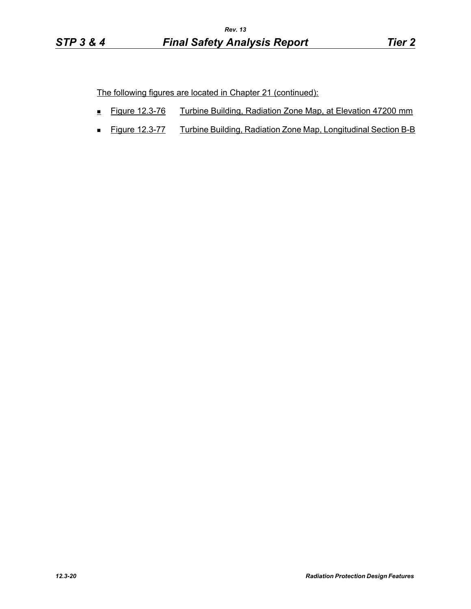The following figures are located in Chapter 21 (continued):

- Figure 12.3-76 Turbine Building, Radiation Zone Map, at Elevation 47200 mm
- **Figure 12.3-77** Turbine Building, Radiation Zone Map, Longitudinal Section B-B